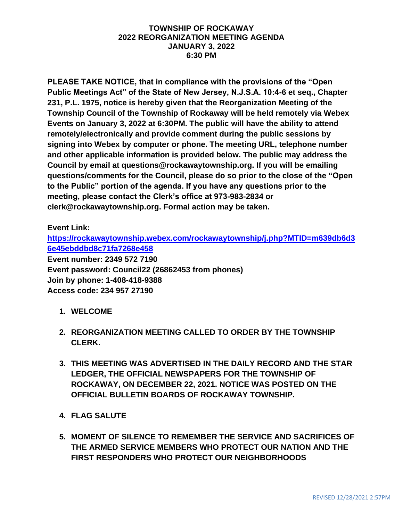#### **TOWNSHIP OF ROCKAWAY 2022 REORGANIZATION MEETING AGENDA JANUARY 3, 2022 6:30 PM**

**PLEASE TAKE NOTICE, that in compliance with the provisions of the "Open Public Meetings Act" of the State of New Jersey, N.J.S.A. 10:4-6 et seq., Chapter 231, P.L. 1975, notice is hereby given that the Reorganization Meeting of the Township Council of the Township of Rockaway will be held remotely via Webex Events on January 3, 2022 at 6:30PM. The public will have the ability to attend remotely/electronically and provide comment during the public sessions by signing into Webex by computer or phone. The meeting URL, telephone number and other applicable information is provided below. The public may address the Council by email at questions@rockawaytownship.org. If you will be emailing questions/comments for the Council, please do so prior to the close of the "Open to the Public" portion of the agenda. If you have any questions prior to the meeting, please contact the Clerk's office at 973-983-2834 or clerk@rockawaytownship.org. Formal action may be taken.**

#### **Event Link:**

**[https://rockawaytownship.webex.com/rockawaytownship/j.php?MTID=m639db6d3](https://rockawaytownship.webex.com/rockawaytownship/j.php?MTID=m639db6d36e45ebddbd8c71fa7268e458) [6e45ebddbd8c71fa7268e458](https://rockawaytownship.webex.com/rockawaytownship/j.php?MTID=m639db6d36e45ebddbd8c71fa7268e458) Event number: 2349 572 7190 Event password: Council22 (26862453 from phones) Join by phone: 1-408-418-9388 Access code: 234 957 27190**

- **1. WELCOME**
- **2. REORGANIZATION MEETING CALLED TO ORDER BY THE TOWNSHIP CLERK.**
- **3. THIS MEETING WAS ADVERTISED IN THE DAILY RECORD AND THE STAR LEDGER, THE OFFICIAL NEWSPAPERS FOR THE TOWNSHIP OF ROCKAWAY, ON DECEMBER 22, 2021. NOTICE WAS POSTED ON THE OFFICIAL BULLETIN BOARDS OF ROCKAWAY TOWNSHIP.**
- **4. FLAG SALUTE**
- **5. MOMENT OF SILENCE TO REMEMBER THE SERVICE AND SACRIFICES OF THE ARMED SERVICE MEMBERS WHO PROTECT OUR NATION AND THE FIRST RESPONDERS WHO PROTECT OUR NEIGHBORHOODS**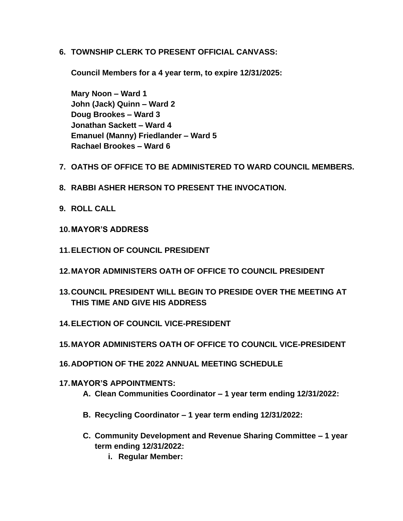**6. TOWNSHIP CLERK TO PRESENT OFFICIAL CANVASS:**

**Council Members for a 4 year term, to expire 12/31/2025:**

**Mary Noon – Ward 1 John (Jack) Quinn – Ward 2 Doug Brookes – Ward 3 Jonathan Sackett – Ward 4 Emanuel (Manny) Friedlander – Ward 5 Rachael Brookes – Ward 6**

- **7. OATHS OF OFFICE TO BE ADMINISTERED TO WARD COUNCIL MEMBERS.**
- **8. RABBI ASHER HERSON TO PRESENT THE INVOCATION.**
- **9. ROLL CALL**
- **10.MAYOR'S ADDRESS**
- **11.ELECTION OF COUNCIL PRESIDENT**
- **12.MAYOR ADMINISTERS OATH OF OFFICE TO COUNCIL PRESIDENT**
- **13.COUNCIL PRESIDENT WILL BEGIN TO PRESIDE OVER THE MEETING AT THIS TIME AND GIVE HIS ADDRESS**
- **14.ELECTION OF COUNCIL VICE-PRESIDENT**
- **15.MAYOR ADMINISTERS OATH OF OFFICE TO COUNCIL VICE-PRESIDENT**
- **16.ADOPTION OF THE 2022 ANNUAL MEETING SCHEDULE**
- **17.MAYOR'S APPOINTMENTS:**
	- **A. Clean Communities Coordinator – 1 year term ending 12/31/2022:**
	- **B. Recycling Coordinator – 1 year term ending 12/31/2022:**
	- **C. Community Development and Revenue Sharing Committee – 1 year term ending 12/31/2022:**
		- **i. Regular Member:**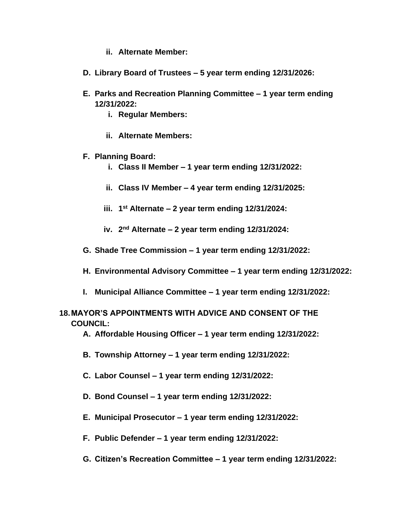- **ii. Alternate Member:**
- **D. Library Board of Trustees – 5 year term ending 12/31/2026:**
- **E. Parks and Recreation Planning Committee – 1 year term ending 12/31/2022:**
	- **i. Regular Members:**
	- **ii. Alternate Members:**
- **F. Planning Board:**
	- **i. Class II Member – 1 year term ending 12/31/2022:**
	- **ii. Class IV Member – 4 year term ending 12/31/2025:**
	- **iii. 1 st Alternate – 2 year term ending 12/31/2024:**
	- **iv. 2 nd Alternate – 2 year term ending 12/31/2024:**
- **G. Shade Tree Commission – 1 year term ending 12/31/2022:**
- **H. Environmental Advisory Committee – 1 year term ending 12/31/2022:**
- **I. Municipal Alliance Committee – 1 year term ending 12/31/2022:**

#### **18.MAYOR'S APPOINTMENTS WITH ADVICE AND CONSENT OF THE COUNCIL:**

- **A. Affordable Housing Officer – 1 year term ending 12/31/2022:**
- **B. Township Attorney – 1 year term ending 12/31/2022:**
- **C. Labor Counsel – 1 year term ending 12/31/2022:**
- **D. Bond Counsel – 1 year term ending 12/31/2022:**
- **E. Municipal Prosecutor – 1 year term ending 12/31/2022:**
- **F. Public Defender – 1 year term ending 12/31/2022:**
- **G. Citizen's Recreation Committee – 1 year term ending 12/31/2022:**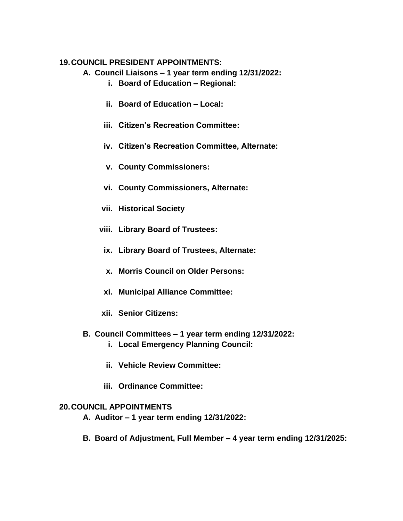#### **19.COUNCIL PRESIDENT APPOINTMENTS:**

- **A. Council Liaisons – 1 year term ending 12/31/2022:**
	- **i. Board of Education – Regional:**
	- **ii. Board of Education – Local:**
	- **iii. Citizen's Recreation Committee:**
	- **iv. Citizen's Recreation Committee, Alternate:**
	- **v. County Commissioners:**
	- **vi. County Commissioners, Alternate:**
	- **vii. Historical Society**
	- **viii. Library Board of Trustees:**
		- **ix. Library Board of Trustees, Alternate:**
		- **x. Morris Council on Older Persons:**
		- **xi. Municipal Alliance Committee:**
	- **xii. Senior Citizens:**
- **B. Council Committees – 1 year term ending 12/31/2022:**
	- **i. Local Emergency Planning Council:**
	- **ii. Vehicle Review Committee:**
	- **iii. Ordinance Committee:**

#### **20.COUNCIL APPOINTMENTS**

- **A. Auditor – 1 year term ending 12/31/2022:**
- **B. Board of Adjustment, Full Member – 4 year term ending 12/31/2025:**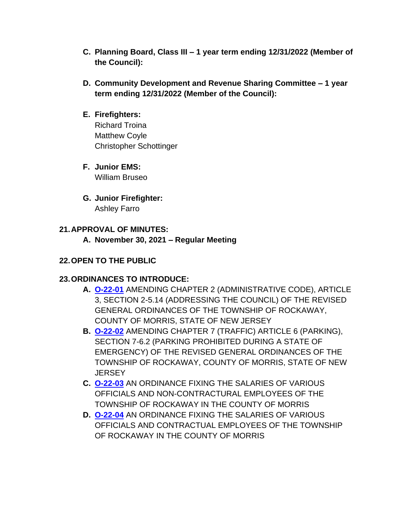- **C. Planning Board, Class III – 1 year term ending 12/31/2022 (Member of the Council):**
- **D. Community Development and Revenue Sharing Committee – 1 year term ending 12/31/2022 (Member of the Council):**

#### **E. Firefighters:**

Richard Troina Matthew Coyle Christopher Schottinger

- **F. Junior EMS:** William Bruseo
- **G. Junior Firefighter:** Ashley Farro

### **21.APPROVAL OF MINUTES:**

**A. November 30, 2021 – Regular Meeting**

## **22.OPEN TO THE PUBLIC**

## **23.ORDINANCES TO INTRODUCE:**

- **A. [O-22-01](https://www.rockawaytownship.org/DocumentCenter/View/8049/O-22-01-12142021-Draft-Ordinance-Amending-Section-2-514-Addressing-the-Council)** AMENDING CHAPTER 2 (ADMINISTRATIVE CODE), ARTICLE 3, SECTION 2-5.14 (ADDRESSING THE COUNCIL) OF THE REVISED GENERAL ORDINANCES OF THE TOWNSHIP OF ROCKAWAY, COUNTY OF MORRIS, STATE OF NEW JERSEY
- **B. [O-22-02](https://www.rockawaytownship.org/DocumentCenter/View/8050/O-22-02-12162021-Ordinance-Amending-Section-7-62-Parking-Prohibited-During-State-of-Emergency)** AMENDING CHAPTER 7 (TRAFFIC) ARTICLE 6 (PARKING), SECTION 7-6.2 (PARKING PROHIBITED DURING A STATE OF EMERGENCY) OF THE REVISED GENERAL ORDINANCES OF THE TOWNSHIP OF ROCKAWAY, COUNTY OF MORRIS, STATE OF NEW **JERSEY**
- **C. [O-22-03](https://www.rockawaytownship.org/DocumentCenter/View/8051/O-22-03-Copy-of-2022-Salary-Ordinance---NonContractural)** AN ORDINANCE FIXING THE SALARIES OF VARIOUS OFFICIALS AND NON-CONTRACTURAL EMPLOYEES OF THE TOWNSHIP OF ROCKAWAY IN THE COUNTY OF MORRIS
- **D. [O-22-04](https://www.rockawaytownship.org/DocumentCenter/View/8052/O-22-04-Copy-of-2022-Salary-Ordinance---MCVI)** AN ORDINANCE FIXING THE SALARIES OF VARIOUS OFFICIALS AND CONTRACTUAL EMPLOYEES OF THE TOWNSHIP OF ROCKAWAY IN THE COUNTY OF MORRIS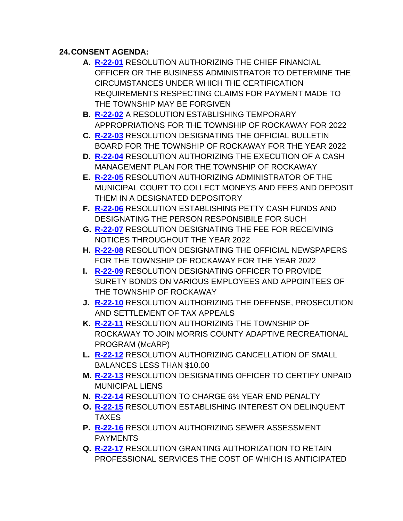# **24.CONSENT AGENDA:**

- **A. [R-22-01](https://www.rockawaytownship.org/DocumentCenter/View/8022/R-22-01-Resolution-to-Amend-Claimant-Certification-Under-Certain-Circumstances)** RESOLUTION AUTHORIZING THE CHIEF FINANCIAL OFFICER OR THE BUSINESS ADMINISTRATOR TO DETERMINE THE CIRCUMSTANCES UNDER WHICH THE CERTIFICATION REQUIREMENTS RESPECTING CLAIMS FOR PAYMENT MADE TO THE TOWNSHIP MAY BE FORGIVEN
- **B. [R-22-02](https://www.rockawaytownship.org/DocumentCenter/View/8023/R-22-02-2022-Temporary-Budget)** A RESOLUTION ESTABLISHING TEMPORARY APPROPRIATIONS FOR THE TOWNSHIP OF ROCKAWAY FOR 2022
- **C. [R-22-03](https://www.rockawaytownship.org/DocumentCenter/View/8024/R-22-03-Bulletin-Board)** RESOLUTION DESIGNATING THE OFFICIAL BULLETIN BOARD FOR THE TOWNSHIP OF ROCKAWAY FOR THE YEAR 2022
- **D. [R-22-04](https://www.rockawaytownship.org/DocumentCenter/View/8025/R-22-04-Cash-Management)** RESOLUTION AUTHORIZING THE EXECUTION OF A CASH MANAGEMENT PLAN FOR THE TOWNSHIP OF ROCKAWAY
- **E. [R-22-05](https://www.rockawaytownship.org/DocumentCenter/View/8026/R-22-05-Court-Account)** RESOLUTION AUTHORIZING ADMINISTRATOR OF THE MUNICIPAL COURT TO COLLECT MONEYS AND FEES AND DEPOSIT THEM IN A DESIGNATED DEPOSITORY
- **F. [R-22-06](https://www.rockawaytownship.org/DocumentCenter/View/8027/R-22-06-Petty-Cash-Funds)** RESOLUTION ESTABLISHING PETTY CASH FUNDS AND DESIGNATING THE PERSON RESPONSIBILE FOR SUCH
- **G. [R-22-07](https://www.rockawaytownship.org/DocumentCenter/View/8028/R-22-07-Notice-Fee)** RESOLUTION DESIGNATING THE FEE FOR RECEIVING NOTICES THROUGHOUT THE YEAR 2022
- **H. [R-22-08](https://www.rockawaytownship.org/DocumentCenter/View/8029/R-22-08-Official-Newspapers)** RESOLUTION DESIGNATING THE OFFICIAL NEWSPAPERS FOR THE TOWNSHIP OF ROCKAWAY FOR THE YEAR 2022
- **I. [R-22-09](https://www.rockawaytownship.org/DocumentCenter/View/8030/R-22-09-Surety-Bonds)** RESOLUTION DESIGNATING OFFICER TO PROVIDE SURETY BONDS ON VARIOUS EMPLOYEES AND APPOINTEES OF THE TOWNSHIP OF ROCKAWAY
- **J. [R-22-10](https://www.rockawaytownship.org/DocumentCenter/View/8031/R-22-10-Tax-Appeals)** RESOLUTION AUTHORIZING THE DEFENSE, PROSECUTION AND SETTLEMENT OF TAX APPEALS
- **K. [R-22-11](https://www.rockawaytownship.org/DocumentCenter/View/8032/R-22-11-McARP)** RESOLUTION AUTHORIZING THE TOWNSHIP OF ROCKAWAY TO JOIN MORRIS COUNTY ADAPTIVE RECREATIONAL PROGRAM (McARP)
- **L. [R-22-12](https://www.rockawaytownship.org/DocumentCenter/View/8033/R-22-12-Authorize-Cancellation-of-Small-Balances)** RESOLUTION AUTHORIZING CANCELLATION OF SMALL BALANCES LESS THAN \$10.00
- **M. [R-22-13](https://www.rockawaytownship.org/DocumentCenter/View/8034/R-22-13-designating-certifying-officer-of-ML)** RESOLUTION DESIGNATING OFFICER TO CERTIFY UNPAID MUNICIPAL LIENS
- **N. [R-22-14](https://www.rockawaytownship.org/DocumentCenter/View/8053/R-22-14-establish-6-year-end-penalty)** RESOLUTION TO CHARGE 6% YEAR END PENALTY
- **O. [R-22-15](https://www.rockawaytownship.org/DocumentCenter/View/8035/R-22-15-Establish-Delinquency-Interest-And-Accrual-Dates)** RESOLUTION ESTABLISHING INTEREST ON DELINQUENT TAXES
- **P. [R-22-16](https://www.rockawaytownship.org/DocumentCenter/View/8036/R-22-16-Sewer-Assessment-Payments)** RESOLUTION AUTHORIZING SEWER ASSESSMENT PAYMENTS
- **Q. [R-22-17](https://www.rockawaytownship.org/DocumentCenter/View/8037/R-22-17-Resolution-Authorizing-Professional-Services-for-Year-2022)** RESOLUTION GRANTING AUTHORIZATION TO RETAIN PROFESSIONAL SERVICES THE COST OF WHICH IS ANTICIPATED